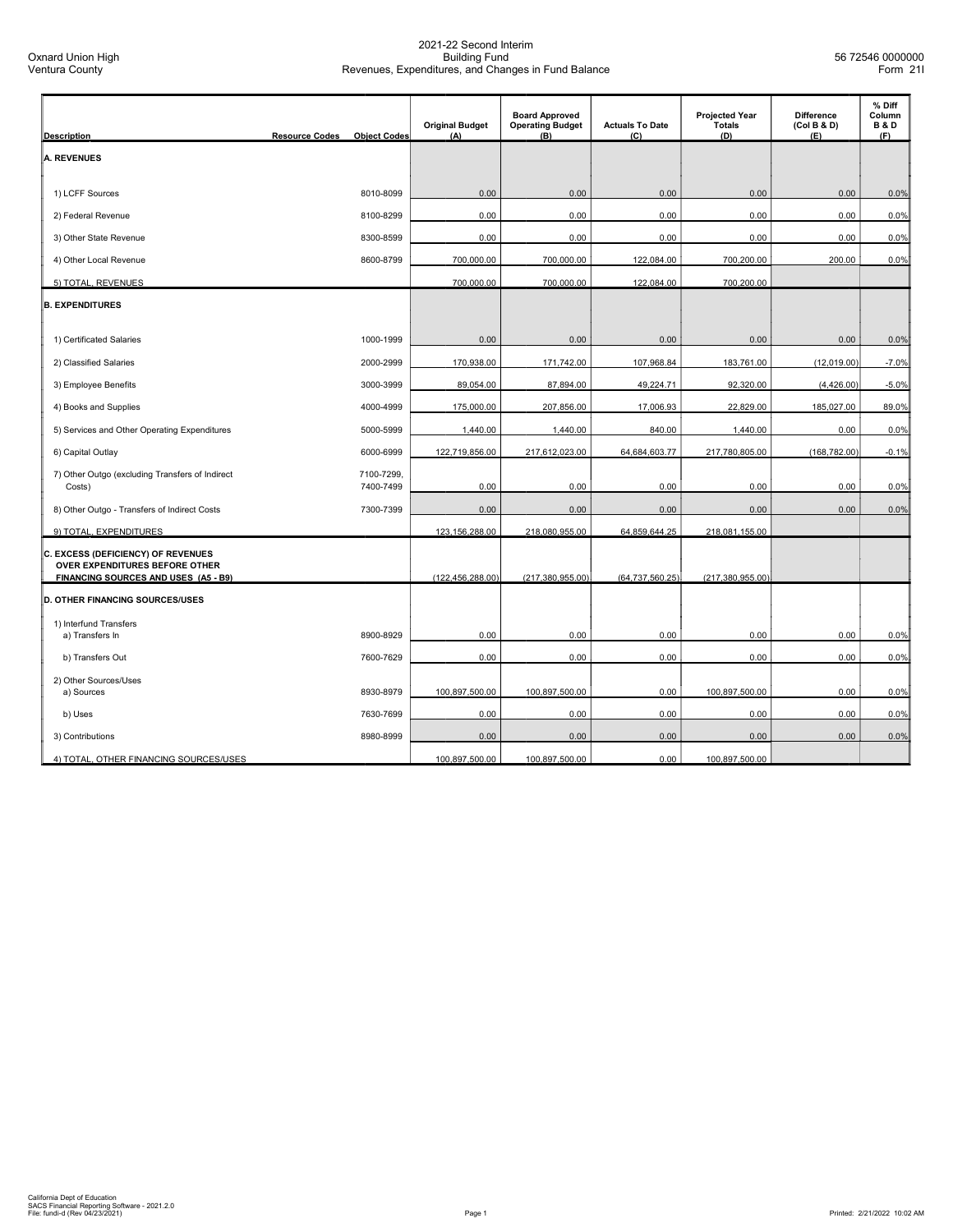| <b>Description</b>                                                                                           | <b>Resource Codes</b><br><b>Object Codes</b> | <b>Original Budget</b><br>(A) | <b>Board Approved</b><br><b>Operating Budget</b><br>(B) | <b>Actuals To Date</b><br>(C) | <b>Projected Year</b><br><b>Totals</b><br>(D) | <b>Difference</b><br>(Col B & D)<br>(E) | % Diff<br>Column<br><b>B&amp;D</b><br>(F) |
|--------------------------------------------------------------------------------------------------------------|----------------------------------------------|-------------------------------|---------------------------------------------------------|-------------------------------|-----------------------------------------------|-----------------------------------------|-------------------------------------------|
| <b>A. REVENUES</b>                                                                                           |                                              |                               |                                                         |                               |                                               |                                         |                                           |
|                                                                                                              |                                              |                               |                                                         |                               |                                               |                                         |                                           |
| 1) LCFF Sources                                                                                              | 8010-8099                                    | 0.00                          | 0.00                                                    | 0.00                          | 0.00                                          | 0.00                                    | 0.0%                                      |
| 2) Federal Revenue                                                                                           | 8100-8299                                    | 0.00                          | 0.00                                                    | 0.00                          | 0.00                                          | 0.00                                    | 0.0%                                      |
| 3) Other State Revenue                                                                                       | 8300-8599                                    | 0.00                          | 0.00                                                    | 0.00                          | 0.00                                          | 0.00                                    | 0.0%                                      |
| 4) Other Local Revenue                                                                                       | 8600-8799                                    | 700,000.00                    | 700,000.00                                              | 122,084.00                    | 700,200.00                                    | 200.00                                  | 0.0%                                      |
| 5) TOTAL, REVENUES                                                                                           |                                              | 700,000.00                    | 700,000.00                                              | 122,084.00                    | 700,200.00                                    |                                         |                                           |
| <b>B. EXPENDITURES</b>                                                                                       |                                              |                               |                                                         |                               |                                               |                                         |                                           |
|                                                                                                              |                                              |                               |                                                         |                               |                                               |                                         |                                           |
| 1) Certificated Salaries                                                                                     | 1000-1999                                    | 0.00                          | 0.00                                                    | 0.00                          | 0.00                                          | 0.00                                    | 0.0%                                      |
| 2) Classified Salaries                                                                                       | 2000-2999                                    | 170,938.00                    | 171,742.00                                              | 107,968.84                    | 183,761.00                                    | (12,019.00)                             | $-7.0%$                                   |
| 3) Employee Benefits                                                                                         | 3000-3999                                    | 89,054.00                     | 87,894.00                                               | 49,224.71                     | 92,320.00                                     | (4,426.00)                              | $-5.0%$                                   |
| 4) Books and Supplies                                                                                        | 4000-4999                                    | 175,000.00                    | 207,856.00                                              | 17,006.93                     | 22,829.00                                     | 185,027.00                              | 89.0%                                     |
| 5) Services and Other Operating Expenditures                                                                 | 5000-5999                                    | 1,440.00                      | 1,440.00                                                | 840.00                        | 1,440.00                                      | 0.00                                    | 0.0%                                      |
| 6) Capital Outlay                                                                                            | 6000-6999                                    | 122,719,856.00                | 217,612,023.00                                          | 64,684,603.77                 | 217,780,805.00                                | (168, 782.00)                           | $-0.1%$                                   |
| 7) Other Outgo (excluding Transfers of Indirect<br>Costs)                                                    | 7100-7299,<br>7400-7499                      | 0.00                          | 0.00                                                    | 0.00                          | 0.00                                          | 0.00                                    | 0.0%                                      |
| 8) Other Outgo - Transfers of Indirect Costs                                                                 | 7300-7399                                    | 0.00                          | 0.00                                                    | 0.00                          | 0.00                                          | 0.00                                    | 0.0%                                      |
| 9) TOTAL, EXPENDITURES                                                                                       |                                              | 123,156,288.00                | 218,080,955.00                                          | 64,859,644.25                 | 218,081,155.00                                |                                         |                                           |
| C. EXCESS (DEFICIENCY) OF REVENUES<br>OVER EXPENDITURES BEFORE OTHER<br>FINANCING SOURCES AND USES (A5 - B9) |                                              | (122, 456, 288.00)            | (217, 380, 955.00)                                      | (64, 737, 560.25)             | (217, 380, 955.00)                            |                                         |                                           |
| <b>D. OTHER FINANCING SOURCES/USES</b>                                                                       |                                              |                               |                                                         |                               |                                               |                                         |                                           |
| 1) Interfund Transfers                                                                                       |                                              |                               |                                                         |                               |                                               |                                         |                                           |
| a) Transfers In                                                                                              | 8900-8929                                    | 0.00                          | 0.00                                                    | 0.00                          | 0.00                                          | 0.00                                    | 0.0%                                      |
| b) Transfers Out                                                                                             | 7600-7629                                    | 0.00                          | 0.00                                                    | 0.00                          | 0.00                                          | 0.00                                    | 0.0%                                      |
| 2) Other Sources/Uses                                                                                        |                                              |                               |                                                         |                               |                                               |                                         |                                           |
| a) Sources                                                                                                   | 8930-8979                                    | 100,897,500.00                | 100,897,500.00                                          | 0.00                          | 100,897,500.00                                | 0.00                                    | 0.0%                                      |
| b) Uses                                                                                                      | 7630-7699                                    | 0.00                          | 0.00                                                    | 0.00                          | 0.00                                          | 0.00                                    | 0.0%                                      |
| 3) Contributions                                                                                             | 8980-8999                                    | 0.00                          | 0.00                                                    | 0.00                          | 0.00                                          | 0.00                                    | 0.0%                                      |
| 4) TOTAL, OTHER FINANCING SOURCES/USES                                                                       |                                              | 100,897,500.00                | 100,897,500.00                                          | 0.00                          | 100,897,500.00                                |                                         |                                           |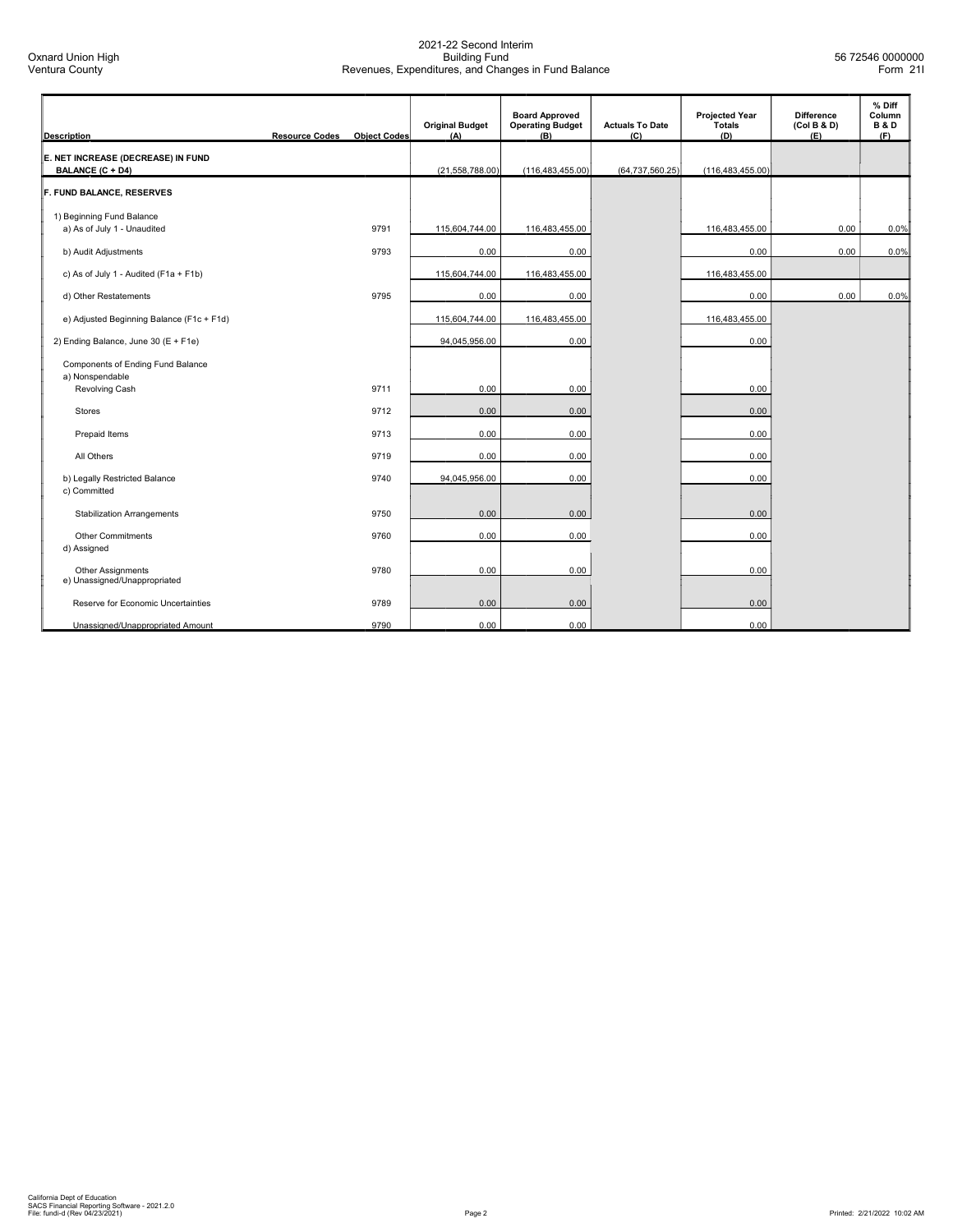| <b>Description</b>                                       | <b>Resource Codes</b> | <b>Object Codes</b> | <b>Original Budget</b><br>(A) | <b>Board Approved</b><br><b>Operating Budget</b><br>(B) | <b>Actuals To Date</b><br>(C) | <b>Projected Year</b><br><b>Totals</b><br>(D) | <b>Difference</b><br>(Col B & D)<br>(E) | % Diff<br>Column<br><b>B&amp;D</b><br>(F) |
|----------------------------------------------------------|-----------------------|---------------------|-------------------------------|---------------------------------------------------------|-------------------------------|-----------------------------------------------|-----------------------------------------|-------------------------------------------|
| E. NET INCREASE (DECREASE) IN FUND<br>BALANCE (C + D4)   |                       |                     | (21,558,788.00)               | (116, 483, 455.00)                                      | (64, 737, 560.25)             | (116, 483, 455.00)                            |                                         |                                           |
| F. FUND BALANCE, RESERVES                                |                       |                     |                               |                                                         |                               |                                               |                                         |                                           |
| 1) Beginning Fund Balance<br>a) As of July 1 - Unaudited |                       | 9791                | 115,604,744.00                | 116,483,455.00                                          |                               | 116,483,455.00                                | 0.00                                    | 0.0%                                      |
| b) Audit Adjustments                                     |                       | 9793                | 0.00                          | 0.00                                                    |                               | 0.00                                          | 0.00                                    | 0.0%                                      |
| c) As of July 1 - Audited (F1a + F1b)                    |                       |                     | 115,604,744.00                | 116,483,455.00                                          |                               | 116,483,455.00                                |                                         |                                           |
| d) Other Restatements                                    |                       | 9795                | 0.00                          | 0.00                                                    |                               | 0.00                                          | 0.00                                    | 0.0%                                      |
| e) Adjusted Beginning Balance (F1c + F1d)                |                       |                     | 115,604,744.00                | 116,483,455.00                                          |                               | 116,483,455.00                                |                                         |                                           |
| 2) Ending Balance, June 30 (E + F1e)                     |                       |                     | 94,045,956.00                 | 0.00                                                    |                               | 0.00                                          |                                         |                                           |
| Components of Ending Fund Balance<br>a) Nonspendable     |                       |                     |                               |                                                         |                               |                                               |                                         |                                           |
| Revolving Cash                                           |                       | 9711                | 0.00                          | 0.00                                                    |                               | 0.00                                          |                                         |                                           |
| <b>Stores</b>                                            |                       | 9712                | 0.00                          | 0.00                                                    |                               | 0.00                                          |                                         |                                           |
| Prepaid Items                                            |                       | 9713                | 0.00                          | 0.00                                                    |                               | 0.00                                          |                                         |                                           |
| All Others                                               |                       | 9719                | 0.00                          | 0.00                                                    |                               | 0.00                                          |                                         |                                           |
| b) Legally Restricted Balance<br>c) Committed            |                       | 9740                | 94,045,956.00                 | 0.00                                                    |                               | 0.00                                          |                                         |                                           |
| <b>Stabilization Arrangements</b>                        |                       | 9750                | 0.00                          | 0.00                                                    |                               | 0.00                                          |                                         |                                           |
| <b>Other Commitments</b><br>d) Assigned                  |                       | 9760                | 0.00                          | 0.00                                                    |                               | 0.00                                          |                                         |                                           |
| Other Assignments<br>e) Unassigned/Unappropriated        |                       | 9780                | 0.00                          | 0.00                                                    |                               | 0.00                                          |                                         |                                           |
| Reserve for Economic Uncertainties                       |                       | 9789                | 0.00                          | 0.00                                                    |                               | 0.00                                          |                                         |                                           |
| Unassigned/Unappropriated Amount                         |                       | 9790                | 0.00                          | 0.00                                                    |                               | 0.00                                          |                                         |                                           |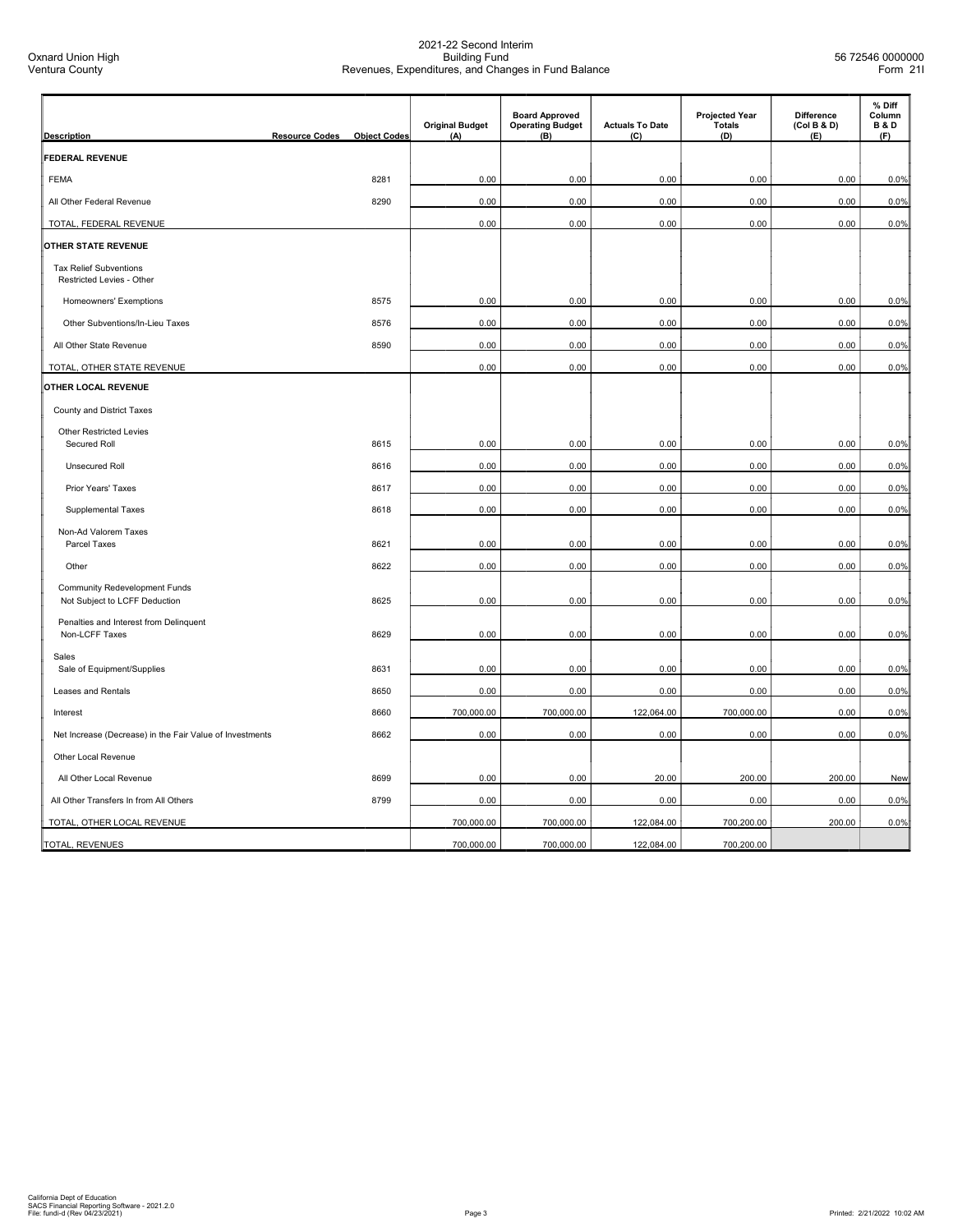| <b>Description</b>                                                    | <b>Resource Codes</b> | <b>Object Codes</b> | <b>Original Budget</b><br>(A) | <b>Board Approved</b><br><b>Operating Budget</b><br>(B) | <b>Actuals To Date</b><br>(C) | <b>Projected Year</b><br><b>Totals</b><br>(D) | <b>Difference</b><br>(Col B & D)<br>(E) | % Diff<br>Column<br><b>B&amp;D</b><br>(F) |
|-----------------------------------------------------------------------|-----------------------|---------------------|-------------------------------|---------------------------------------------------------|-------------------------------|-----------------------------------------------|-----------------------------------------|-------------------------------------------|
| <b>FEDERAL REVENUE</b>                                                |                       |                     |                               |                                                         |                               |                                               |                                         |                                           |
| <b>FEMA</b>                                                           |                       | 8281                | 0.00                          | 0.00                                                    | 0.00                          | 0.00                                          | 0.00                                    | 0.0%                                      |
| All Other Federal Revenue                                             |                       | 8290                | 0.00                          | 0.00                                                    | 0.00                          | 0.00                                          | 0.00                                    | 0.0%                                      |
| TOTAL, FEDERAL REVENUE                                                |                       |                     | 0.00                          | 0.00                                                    | 0.00                          | 0.00                                          | 0.00                                    | 0.0%                                      |
| OTHER STATE REVENUE                                                   |                       |                     |                               |                                                         |                               |                                               |                                         |                                           |
| <b>Tax Relief Subventions</b><br>Restricted Levies - Other            |                       |                     |                               |                                                         |                               |                                               |                                         |                                           |
| Homeowners' Exemptions                                                |                       | 8575                | 0.00                          | 0.00                                                    | 0.00                          | 0.00                                          | 0.00                                    | 0.0%                                      |
| Other Subventions/In-Lieu Taxes                                       |                       | 8576                | 0.00                          | 0.00                                                    | 0.00                          | 0.00                                          | 0.00                                    | 0.0%                                      |
| All Other State Revenue                                               |                       | 8590                | 0.00                          | 0.00                                                    | 0.00                          | 0.00                                          | 0.00                                    | 0.0%                                      |
| TOTAL, OTHER STATE REVENUE                                            |                       |                     | 0.00                          | 0.00                                                    | 0.00                          | 0.00                                          | 0.00                                    | 0.0%                                      |
| OTHER LOCAL REVENUE                                                   |                       |                     |                               |                                                         |                               |                                               |                                         |                                           |
| County and District Taxes                                             |                       |                     |                               |                                                         |                               |                                               |                                         |                                           |
| <b>Other Restricted Levies</b>                                        |                       |                     |                               |                                                         |                               |                                               |                                         |                                           |
| Secured Roll                                                          |                       | 8615                | 0.00                          | 0.00                                                    | 0.00                          | 0.00                                          | 0.00                                    | 0.0%                                      |
| Unsecured Roll                                                        |                       | 8616                | 0.00                          | 0.00                                                    | 0.00                          | 0.00                                          | 0.00                                    | 0.0%                                      |
| Prior Years' Taxes                                                    |                       | 8617                | 0.00                          | 0.00                                                    | 0.00                          | 0.00                                          | 0.00                                    | 0.0%                                      |
| Supplemental Taxes                                                    |                       | 8618                | 0.00                          | 0.00                                                    | 0.00                          | 0.00                                          | 0.00                                    | 0.0%                                      |
| Non-Ad Valorem Taxes                                                  |                       |                     | 0.00                          |                                                         |                               |                                               | 0.00                                    |                                           |
| Parcel Taxes                                                          |                       | 8621                |                               | 0.00                                                    | 0.00                          | 0.00                                          |                                         | 0.0%                                      |
| Other                                                                 |                       | 8622                | 0.00                          | 0.00                                                    | 0.00                          | 0.00                                          | 0.00                                    | 0.0%                                      |
| <b>Community Redevelopment Funds</b><br>Not Subject to LCFF Deduction |                       | 8625                | 0.00                          | 0.00                                                    | 0.00                          | 0.00                                          | 0.00                                    | 0.0%                                      |
| Penalties and Interest from Delinquent                                |                       |                     |                               |                                                         |                               |                                               |                                         |                                           |
| Non-LCFF Taxes                                                        |                       | 8629                | 0.00                          | 0.00                                                    | 0.00                          | 0.00                                          | 0.00                                    | 0.0%                                      |
| Sales<br>Sale of Equipment/Supplies                                   |                       | 8631                | 0.00                          | 0.00                                                    | 0.00                          | 0.00                                          | 0.00                                    | 0.0%                                      |
| Leases and Rentals                                                    |                       | 8650                | 0.00                          | 0.00                                                    | 0.00                          | 0.00                                          | 0.00                                    | 0.0%                                      |
| Interest                                                              |                       | 8660                | 700,000.00                    | 700,000.00                                              | 122,064.00                    | 700,000.00                                    | 0.00                                    | 0.0%                                      |
| Net Increase (Decrease) in the Fair Value of Investments              |                       | 8662                | 0.00                          | 0.00                                                    | 0.00                          | 0.00                                          | 0.00                                    | 0.0%                                      |
| Other Local Revenue                                                   |                       |                     |                               |                                                         |                               |                                               |                                         |                                           |
|                                                                       |                       |                     |                               |                                                         |                               |                                               |                                         |                                           |
| All Other Local Revenue                                               |                       | 8699                | 0.00                          | 0.00                                                    | 20.00                         | 200.00                                        | 200.00                                  | New                                       |
| All Other Transfers In from All Others                                |                       | 8799                | 0.00                          | 0.00                                                    | 0.00                          | 0.00                                          | 0.00                                    | 0.0%                                      |
| TOTAL, OTHER LOCAL REVENUE                                            |                       |                     | 700,000.00                    | 700,000.00                                              | 122,084.00                    | 700,200.00                                    | 200.00                                  | 0.0%                                      |
| TOTAL, REVENUES                                                       |                       |                     | 700,000.00                    | 700,000.00                                              | 122,084.00                    | 700,200.00                                    |                                         |                                           |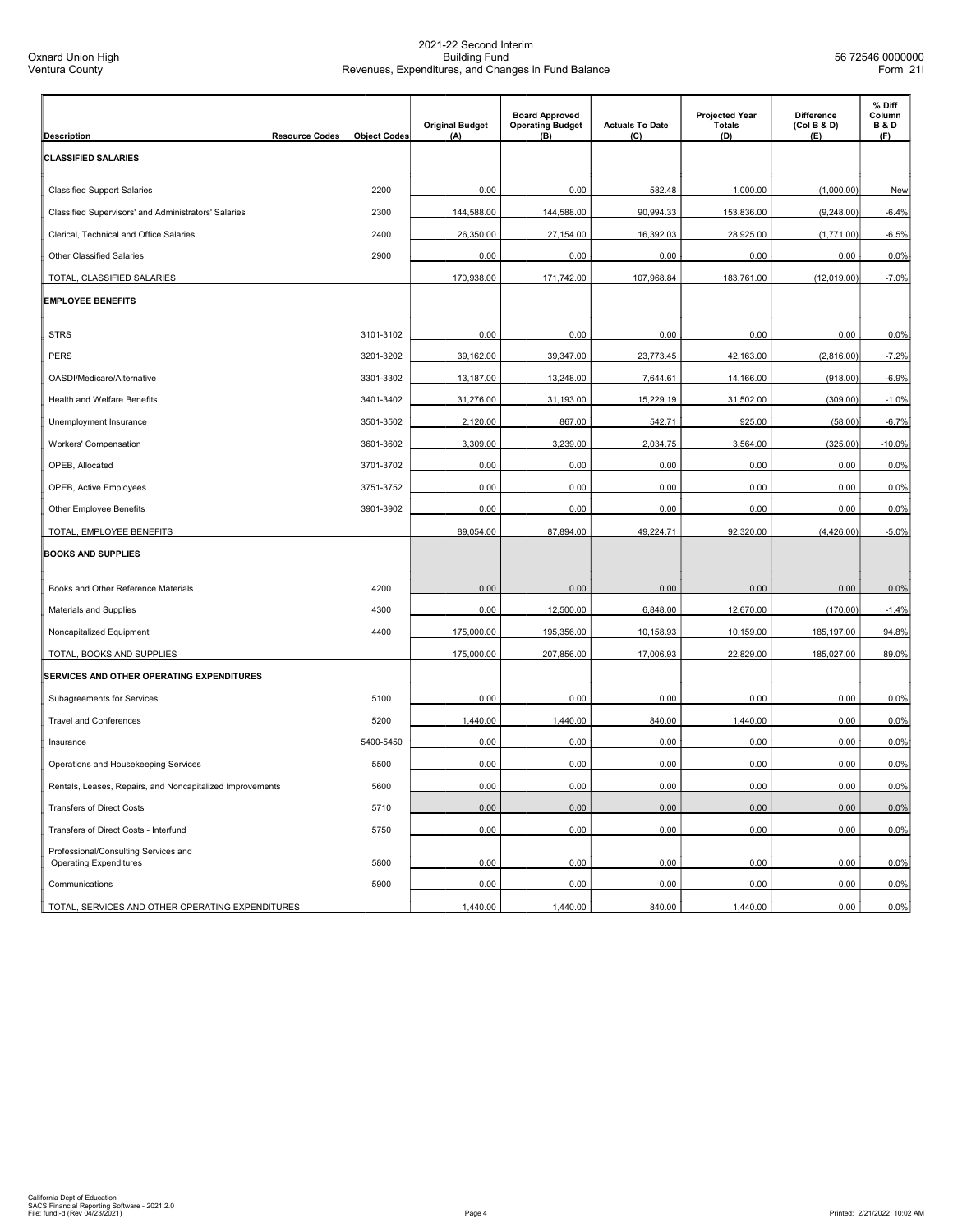| <b>Description</b>                                                    | <b>Resource Codes</b> | <b>Object Codes</b> | <b>Original Budget</b><br>(A) | <b>Board Approved</b><br><b>Operating Budget</b><br>(B) | <b>Actuals To Date</b><br>(C) | <b>Projected Year</b><br><b>Totals</b><br>(D) | <b>Difference</b><br>(Col B & D)<br>(E) | % Diff<br>Column<br><b>B&amp;D</b><br>(F) |
|-----------------------------------------------------------------------|-----------------------|---------------------|-------------------------------|---------------------------------------------------------|-------------------------------|-----------------------------------------------|-----------------------------------------|-------------------------------------------|
| <b>CLASSIFIED SALARIES</b>                                            |                       |                     |                               |                                                         |                               |                                               |                                         |                                           |
|                                                                       |                       |                     |                               |                                                         |                               |                                               |                                         |                                           |
| <b>Classified Support Salaries</b>                                    |                       | 2200                | 0.00                          | 0.00                                                    | 582.48                        | 1,000.00                                      | (1,000.00)                              | New                                       |
| Classified Supervisors' and Administrators' Salaries                  |                       | 2300                | 144,588.00                    | 144,588.00                                              | 90,994.33                     | 153,836.00                                    | (9,248.00)                              | $-6.4%$                                   |
| Clerical, Technical and Office Salaries                               |                       | 2400                | 26,350.00                     | 27,154.00                                               | 16,392.03                     | 28,925.00                                     | (1,771.00)                              | $-6.5%$                                   |
| <b>Other Classified Salaries</b>                                      |                       | 2900                | 0.00                          | 0.00                                                    | 0.00                          | 0.00                                          | 0.00                                    | 0.0%                                      |
| TOTAL, CLASSIFIED SALARIES                                            |                       |                     | 170,938.00                    | 171,742.00                                              | 107,968.84                    | 183,761.00                                    | (12,019.00)                             | $-7.0%$                                   |
| <b>EMPLOYEE BENEFITS</b>                                              |                       |                     |                               |                                                         |                               |                                               |                                         |                                           |
|                                                                       |                       |                     |                               |                                                         |                               |                                               |                                         |                                           |
| <b>STRS</b>                                                           |                       | 3101-3102           | 0.00                          | 0.00                                                    | 0.00                          | 0.00                                          | 0.00                                    | 0.0%                                      |
| <b>PERS</b>                                                           |                       | 3201-3202           | 39,162.00                     | 39,347.00                                               | 23,773.45                     | 42,163.00                                     | (2,816.00)                              | $-7.2%$                                   |
| OASDI/Medicare/Alternative                                            |                       | 3301-3302           | 13,187.00                     | 13,248.00                                               | 7,644.61                      | 14,166.00                                     | (918.00)                                | $-6.9%$                                   |
| Health and Welfare Benefits                                           |                       | 3401-3402           | 31,276.00                     | 31,193.00                                               | 15,229.19                     | 31,502.00                                     | (309.00)                                | $-1.0%$                                   |
| Unemployment Insurance                                                |                       | 3501-3502           | 2,120.00                      | 867.00                                                  | 542.71                        | 925.00                                        | (58.00)                                 | $-6.7%$                                   |
| Workers' Compensation                                                 |                       | 3601-3602           | 3,309.00                      | 3,239.00                                                | 2,034.75                      | 3,564.00                                      | (325.00)                                | $-10.0%$                                  |
| OPEB, Allocated                                                       |                       | 3701-3702           | 0.00                          | 0.00                                                    | 0.00                          | 0.00                                          | 0.00                                    | 0.0%                                      |
| OPEB, Active Employees                                                |                       | 3751-3752           | 0.00                          | 0.00                                                    | 0.00                          | 0.00                                          | 0.00                                    | 0.0%                                      |
| <b>Other Employee Benefits</b>                                        |                       | 3901-3902           | 0.00                          | 0.00                                                    | 0.00                          | 0.00                                          | 0.00                                    | 0.0%                                      |
| TOTAL, EMPLOYEE BENEFITS                                              |                       |                     | 89,054.00                     | 87,894.00                                               | 49,224.71                     | 92,320.00                                     | (4,426.00)                              | $-5.0%$                                   |
| <b>BOOKS AND SUPPLIES</b>                                             |                       |                     |                               |                                                         |                               |                                               |                                         |                                           |
| Books and Other Reference Materials                                   |                       | 4200                | 0.00                          | 0.00                                                    | 0.00                          | 0.00                                          | 0.00                                    | 0.0%                                      |
| Materials and Supplies                                                |                       | 4300                | 0.00                          | 12,500.00                                               | 6,848.00                      | 12,670.00                                     | (170.00)                                | $-1.4%$                                   |
| Noncapitalized Equipment                                              |                       | 4400                | 175,000.00                    | 195,356.00                                              | 10,158.93                     | 10,159.00                                     | 185,197.00                              | 94.8%                                     |
| TOTAL, BOOKS AND SUPPLIES                                             |                       |                     | 175,000.00                    | 207,856.00                                              | 17,006.93                     | 22,829.00                                     | 185,027.00                              | 89.0%                                     |
| SERVICES AND OTHER OPERATING EXPENDITURES                             |                       |                     |                               |                                                         |                               |                                               |                                         |                                           |
| Subagreements for Services                                            |                       | 5100                | 0.00                          | 0.00                                                    | 0.00                          | 0.00                                          | 0.00                                    | 0.0%                                      |
| <b>Travel and Conferences</b>                                         |                       | 5200                | 1,440.00                      | 1,440.00                                                | 840.00                        | 1,440.00                                      | 0.00                                    | 0.0%                                      |
| Insurance                                                             |                       | 5400-5450           | 0.00                          | 0.00                                                    | 0.00                          | 0.00                                          | 0.00                                    | 0.0%                                      |
| Operations and Housekeeping Services                                  |                       | 5500                | 0.00                          | 0.00                                                    | 0.00                          | 0.00                                          | 0.00                                    | 0.0%                                      |
| Rentals, Leases, Repairs, and Noncapitalized Improvements             |                       | 5600                | 0.00                          | 0.00                                                    | 0.00                          | 0.00                                          | 0.00                                    | 0.0%                                      |
| <b>Transfers of Direct Costs</b>                                      |                       | 5710                | 0.00                          | 0.00                                                    | 0.00                          | 0.00                                          | 0.00                                    | 0.0%                                      |
| Transfers of Direct Costs - Interfund                                 |                       | 5750                | 0.00                          | 0.00                                                    | 0.00                          | 0.00                                          | 0.00                                    | 0.0%                                      |
| Professional/Consulting Services and<br><b>Operating Expenditures</b> |                       | 5800                | 0.00                          | 0.00                                                    | 0.00                          | 0.00                                          | 0.00                                    | 0.0%                                      |
| Communications                                                        |                       | 5900                | 0.00                          | 0.00                                                    | 0.00                          | 0.00                                          | 0.00                                    | 0.0%                                      |
| TOTAL, SERVICES AND OTHER OPERATING EXPENDITURES                      |                       |                     | 1,440.00                      | 1,440.00                                                | 840.00                        | 1,440.00                                      | 0.00                                    | 0.0%                                      |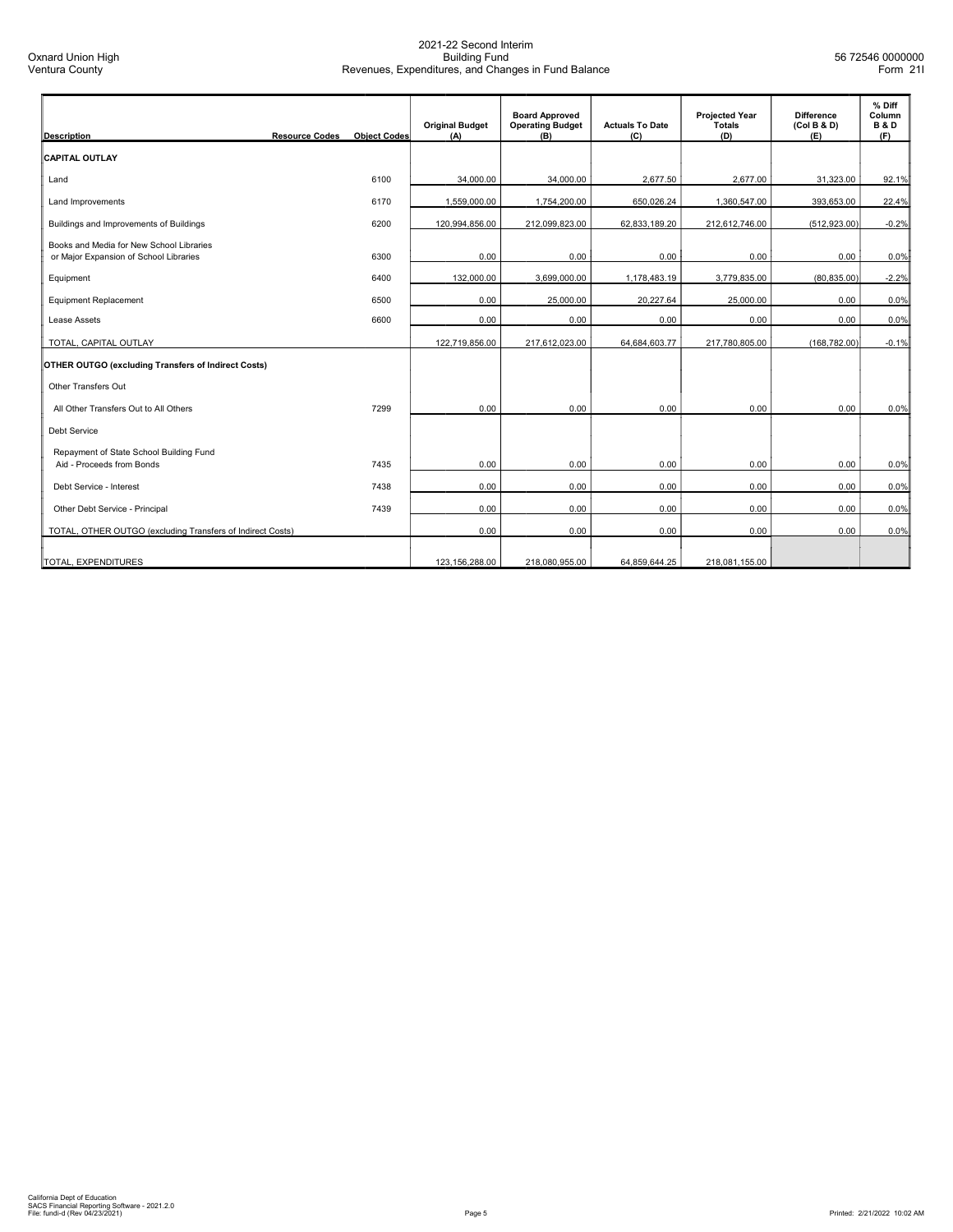| <b>Description</b>                                                                 | <b>Resource Codes</b> | <b>Obiect Codes</b> | <b>Original Budget</b><br>(A) | <b>Board Approved</b><br><b>Operating Budget</b><br>(B) | <b>Actuals To Date</b><br>(C) | <b>Projected Year</b><br>Totals<br>(D) | <b>Difference</b><br>(Col B & D)<br>(E) | % Diff<br>Column<br><b>B&amp;D</b><br>(F) |
|------------------------------------------------------------------------------------|-----------------------|---------------------|-------------------------------|---------------------------------------------------------|-------------------------------|----------------------------------------|-----------------------------------------|-------------------------------------------|
| <b>CAPITAL OUTLAY</b>                                                              |                       |                     |                               |                                                         |                               |                                        |                                         |                                           |
| Land                                                                               |                       | 6100                | 34,000.00                     | 34,000.00                                               | 2,677.50                      | 2,677.00                               | 31,323.00                               | 92.1%                                     |
| Land Improvements                                                                  |                       | 6170                | 1,559,000.00                  | 1,754,200.00                                            | 650,026.24                    | 1.360.547.00                           | 393.653.00                              | 22.4%                                     |
| Buildings and Improvements of Buildings                                            |                       | 6200                | 120,994,856.00                | 212,099,823.00                                          | 62,833,189.20                 | 212,612,746.00                         | (512, 923.00)                           | $-0.2%$                                   |
| Books and Media for New School Libraries<br>or Major Expansion of School Libraries |                       | 6300                | 0.00                          | 0.00                                                    | 0.00                          | 0.00                                   | 0.00                                    | 0.0%                                      |
| Equipment                                                                          |                       | 6400                | 132,000.00                    | 3,699,000.00                                            | 1,178,483.19                  | 3,779,835.00                           | (80, 835.00)                            | $-2.2%$                                   |
| <b>Equipment Replacement</b>                                                       |                       | 6500                | 0.00                          | 25,000.00                                               | 20,227.64                     | 25,000.00                              | 0.00                                    | 0.0%                                      |
| Lease Assets                                                                       |                       | 6600                | 0.00                          | 0.00                                                    | 0.00                          | 0.00                                   | 0.00                                    | 0.0%                                      |
| TOTAL, CAPITAL OUTLAY                                                              |                       |                     | 122,719,856.00                | 217,612,023.00                                          | 64,684,603.77                 | 217.780.805.00                         | (168.782.00)                            | $-0.1%$                                   |
| <b>OTHER OUTGO (excluding Transfers of Indirect Costs)</b>                         |                       |                     |                               |                                                         |                               |                                        |                                         |                                           |
| Other Transfers Out                                                                |                       |                     |                               |                                                         |                               |                                        |                                         |                                           |
| All Other Transfers Out to All Others                                              |                       | 7299                | 0.00                          | 0.00                                                    | 0.00                          | 0.00                                   | 0.00                                    | 0.0%                                      |
| <b>Debt Service</b>                                                                |                       |                     |                               |                                                         |                               |                                        |                                         |                                           |
| Repayment of State School Building Fund<br>Aid - Proceeds from Bonds               |                       | 7435                | 0.00                          | 0.00                                                    | 0.00                          | 0.00                                   | 0.00                                    | 0.0%                                      |
| Debt Service - Interest                                                            |                       | 7438                | 0.00                          | 0.00                                                    | 0.00                          | 0.00                                   | 0.00                                    | 0.0%                                      |
| Other Debt Service - Principal                                                     |                       | 7439                | 0.00                          | 0.00                                                    | 0.00                          | 0.00                                   | 0.00                                    | 0.0%                                      |
| TOTAL, OTHER OUTGO (excluding Transfers of Indirect Costs)                         |                       |                     | 0.00                          | 0.00                                                    | 0.00                          | 0.00                                   | 0.00                                    | 0.0%                                      |
| TOTAL, EXPENDITURES                                                                |                       |                     | 123,156,288.00                | 218,080,955.00                                          | 64,859,644.25                 | 218,081,155.00                         |                                         |                                           |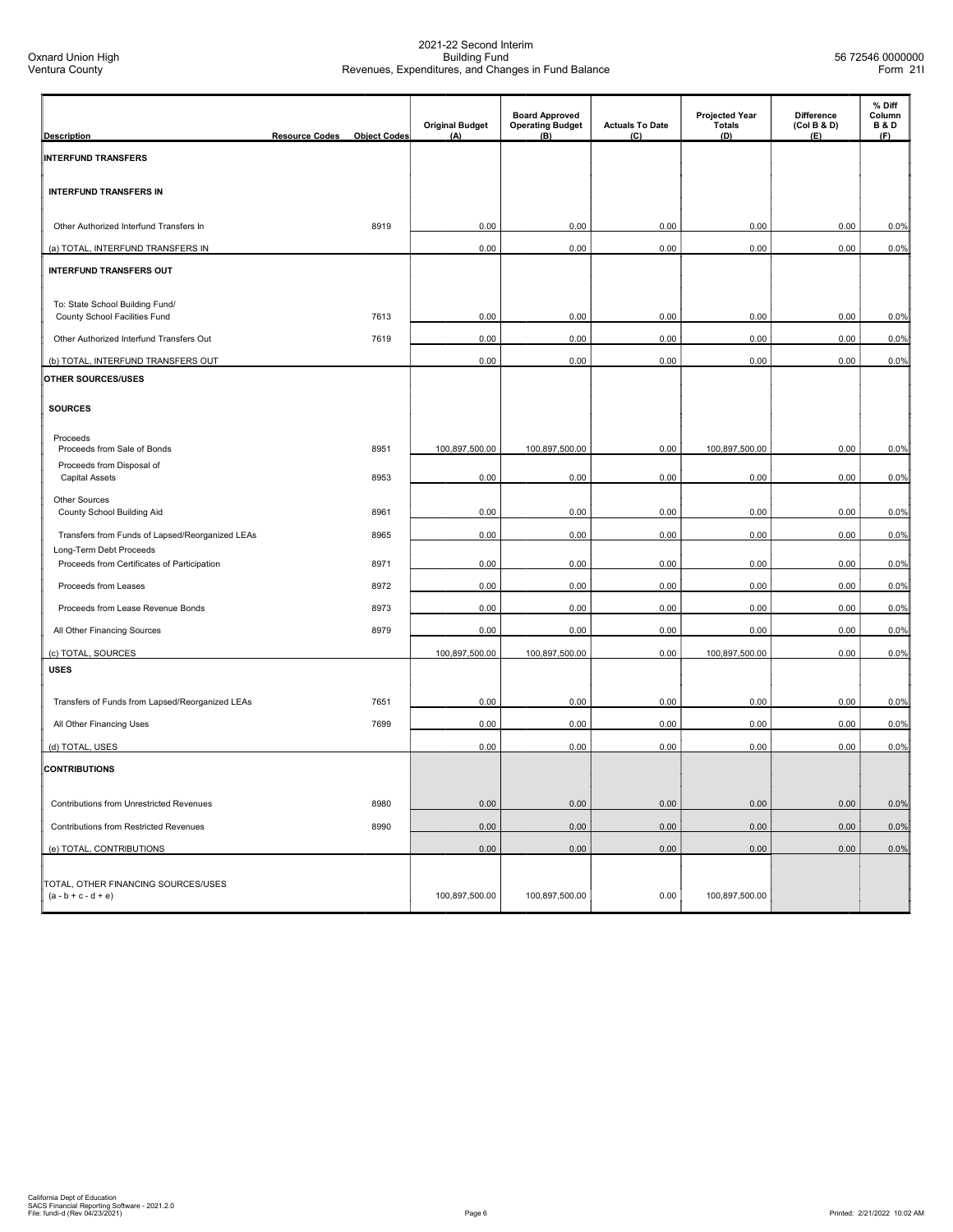| <b>Description</b>                                               | <b>Resource Codes</b> | <b>Object Codes</b> | <b>Original Budget</b><br>(A) | <b>Board Approved</b><br><b>Operating Budget</b><br>(B) | <b>Actuals To Date</b><br>(C) | <b>Projected Year</b><br><b>Totals</b><br>(D) | Difference<br>(Col B & D)<br>(E) | % Diff<br>Column<br><b>B&amp;D</b><br>(F) |
|------------------------------------------------------------------|-----------------------|---------------------|-------------------------------|---------------------------------------------------------|-------------------------------|-----------------------------------------------|----------------------------------|-------------------------------------------|
| <b>INTERFUND TRANSFERS</b>                                       |                       |                     |                               |                                                         |                               |                                               |                                  |                                           |
|                                                                  |                       |                     |                               |                                                         |                               |                                               |                                  |                                           |
| <b>INTERFUND TRANSFERS IN</b>                                    |                       |                     |                               |                                                         |                               |                                               |                                  |                                           |
| Other Authorized Interfund Transfers In                          |                       | 8919                | 0.00                          | 0.00                                                    | 0.00                          | 0.00                                          | 0.00                             | 0.0%                                      |
| (a) TOTAL, INTERFUND TRANSFERS IN                                |                       |                     | 0.00                          | 0.00                                                    | 0.00                          | 0.00                                          | 0.00                             | 0.0%                                      |
| <b>INTERFUND TRANSFERS OUT</b>                                   |                       |                     |                               |                                                         |                               |                                               |                                  |                                           |
|                                                                  |                       |                     |                               |                                                         |                               |                                               |                                  |                                           |
| To: State School Building Fund/<br>County School Facilities Fund |                       | 7613                | 0.00                          | 0.00                                                    | 0.00                          | 0.00                                          | 0.00                             | 0.0%                                      |
| Other Authorized Interfund Transfers Out                         |                       | 7619                | 0.00                          | 0.00                                                    | 0.00                          | 0.00                                          | 0.00                             | 0.0%                                      |
|                                                                  |                       |                     |                               |                                                         |                               |                                               |                                  |                                           |
| (b) TOTAL, INTERFUND TRANSFERS OUT                               |                       |                     | 0.00                          | 0.00                                                    | 0.00                          | 0.00                                          | 0.00                             | 0.0%                                      |
| OTHER SOURCES/USES                                               |                       |                     |                               |                                                         |                               |                                               |                                  |                                           |
| <b>SOURCES</b>                                                   |                       |                     |                               |                                                         |                               |                                               |                                  |                                           |
|                                                                  |                       |                     |                               |                                                         |                               |                                               |                                  |                                           |
| Proceeds<br>Proceeds from Sale of Bonds                          |                       | 8951                | 100,897,500.00                | 100,897,500.00                                          | 0.00                          | 100,897,500.00                                | 0.00                             | 0.0%                                      |
| Proceeds from Disposal of<br><b>Capital Assets</b>               |                       | 8953                | 0.00                          | 0.00                                                    | 0.00                          | 0.00                                          | 0.00                             | 0.0%                                      |
|                                                                  |                       |                     |                               |                                                         |                               |                                               |                                  |                                           |
| <b>Other Sources</b><br>County School Building Aid               |                       | 8961                | 0.00                          | 0.00                                                    | 0.00                          | 0.00                                          | 0.00                             | 0.0%                                      |
| Transfers from Funds of Lapsed/Reorganized LEAs                  |                       | 8965                | 0.00                          | 0.00                                                    | 0.00                          | 0.00                                          | 0.00                             | 0.0%                                      |
| Long-Term Debt Proceeds                                          |                       |                     |                               |                                                         |                               |                                               |                                  |                                           |
| Proceeds from Certificates of Participation                      |                       | 8971                | 0.00                          | 0.00                                                    | 0.00                          | 0.00                                          | 0.00                             | 0.0%                                      |
| Proceeds from Leases                                             |                       | 8972                | 0.00                          | 0.00                                                    | 0.00                          | 0.00                                          | 0.00                             | 0.0%                                      |
| Proceeds from Lease Revenue Bonds                                |                       | 8973                | 0.00                          | 0.00                                                    | 0.00                          | 0.00                                          | 0.00                             | 0.0%                                      |
| All Other Financing Sources                                      |                       | 8979                | 0.00                          | 0.00                                                    | 0.00                          | 0.00                                          | 0.00                             | 0.0%                                      |
| (c) TOTAL, SOURCES                                               |                       |                     | 100,897,500.00                | 100,897,500.00                                          | 0.00                          | 100,897,500.00                                | 0.00                             | 0.0%                                      |
| <b>USES</b>                                                      |                       |                     |                               |                                                         |                               |                                               |                                  |                                           |
| Transfers of Funds from Lapsed/Reorganized LEAs                  |                       | 7651                | 0.00                          | 0.00                                                    | 0.00                          | 0.00                                          | 0.00                             | 0.0%                                      |
| All Other Financing Uses                                         |                       | 7699                | 0.00                          | 0.00                                                    | 0.00                          | 0.00                                          | 0.00                             | 0.0%                                      |
|                                                                  |                       |                     |                               |                                                         |                               |                                               |                                  |                                           |
| (d) TOTAL, USES                                                  |                       |                     | 0.00                          | 0.00                                                    | 0.00                          | 0.00                                          | 0.00                             | 0.0%                                      |
| <b>CONTRIBUTIONS</b>                                             |                       |                     |                               |                                                         |                               |                                               |                                  |                                           |
| Contributions from Unrestricted Revenues                         |                       | 8980                | 0.00                          | 0.00                                                    | 0.00                          | 0.00                                          | 0.00                             | 0.0%                                      |
| Contributions from Restricted Revenues                           |                       | 8990                | 0.00                          | 0.00                                                    | 0.00                          | 0.00                                          | 0.00                             | 0.0%                                      |
| (e) TOTAL, CONTRIBUTIONS                                         |                       |                     | 0.00                          | 0.00                                                    | 0.00                          | 0.00                                          | 0.00                             | 0.0%                                      |
|                                                                  |                       |                     |                               |                                                         |                               |                                               |                                  |                                           |
| TOTAL, OTHER FINANCING SOURCES/USES<br>$(a - b + c - d + e)$     |                       |                     | 100,897,500.00                | 100,897,500.00                                          | 0.00                          | 100,897,500.00                                |                                  |                                           |